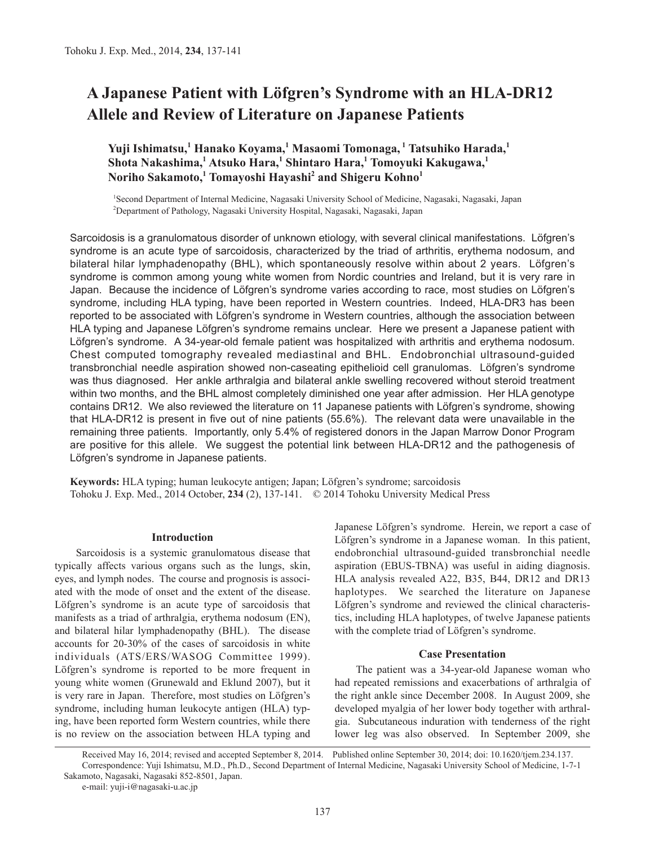# **A Japanese Patient with Löfgren's Syndrome with an HLA-DR12 Allele and Review of Literature on Japanese Patients**

## **Yuji Ishimatsu,<sup>1</sup> Hanako Koyama,1 Masaomi Tomonaga, 1 Tatsuhiko Harada,1 Shota Nakashima,<sup>1</sup> Atsuko Hara,<sup>1</sup> Shintaro Hara,1 Tomoyuki Kakugawa,<sup>1</sup> Noriho Sakamoto,<sup>1</sup> Tomayoshi Hayashi<sup>2</sup> and Shigeru Kohno<sup>1</sup>**

<sup>1</sup>Second Department of Internal Medicine, Nagasaki University School of Medicine, Nagasaki, Nagasaki, Japan 2 Department of Pathology, Nagasaki University Hospital, Nagasaki, Nagasaki, Japan

Sarcoidosis is a granulomatous disorder of unknown etiology, with several clinical manifestations. Löfgren's syndrome is an acute type of sarcoidosis, characterized by the triad of arthritis, erythema nodosum, and bilateral hilar lymphadenopathy (BHL), which spontaneously resolve within about 2 years. Löfgren's syndrome is common among young white women from Nordic countries and Ireland, but it is very rare in Japan. Because the incidence of Löfgren's syndrome varies according to race, most studies on Löfgren's syndrome, including HLA typing, have been reported in Western countries. Indeed, HLA-DR3 has been reported to be associated with Löfgren's syndrome in Western countries, although the association between HLA typing and Japanese Löfgren's syndrome remains unclear. Here we present a Japanese patient with Löfgren's syndrome. A 34-year-old female patient was hospitalized with arthritis and erythema nodosum. Chest computed tomography revealed mediastinal and BHL. Endobronchial ultrasound-guided transbronchial needle aspiration showed non-caseating epithelioid cell granulomas. Löfgren's syndrome was thus diagnosed. Her ankle arthralgia and bilateral ankle swelling recovered without steroid treatment within two months, and the BHL almost completely diminished one year after admission. Her HLA genotype contains DR12. We also reviewed the literature on 11 Japanese patients with Löfgren's syndrome, showing that HLA-DR12 is present in five out of nine patients (55.6%). The relevant data were unavailable in the remaining three patients. Importantly, only 5.4% of registered donors in the Japan Marrow Donor Program are positive for this allele. We suggest the potential link between HLA-DR12 and the pathogenesis of Löfgren's syndrome in Japanese patients.

**Keywords:** HLA typing; human leukocyte antigen; Japan; Löfgren's syndrome; sarcoidosis Tohoku J. Exp. Med., 2014 October, **234** (2), 137-141. © 2014 Tohoku University Medical Press

#### **Introduction**

Sarcoidosis is a systemic granulomatous disease that typically affects various organs such as the lungs, skin, eyes, and lymph nodes. The course and prognosis is associated with the mode of onset and the extent of the disease. Löfgren's syndrome is an acute type of sarcoidosis that manifests as a triad of arthralgia, erythema nodosum (EN), and bilateral hilar lymphadenopathy (BHL). The disease accounts for 20-30% of the cases of sarcoidosis in white individuals (ATS/ERS/WASOG Committee 1999). Löfgren's syndrome is reported to be more frequent in young white women (Grunewald and Eklund 2007), but it is very rare in Japan. Therefore, most studies on Löfgren's syndrome, including human leukocyte antigen (HLA) typing, have been reported form Western countries, while there is no review on the association between HLA typing and Japanese Löfgren's syndrome. Herein, we report a case of Löfgren's syndrome in a Japanese woman. In this patient, endobronchial ultrasound-guided transbronchial needle aspiration (EBUS-TBNA) was useful in aiding diagnosis. HLA analysis revealed A22, B35, B44, DR12 and DR13 haplotypes. We searched the literature on Japanese Löfgren's syndrome and reviewed the clinical characteristics, including HLA haplotypes, of twelve Japanese patients with the complete triad of Löfgren's syndrome.

## **Case Presentation**

The patient was a 34-year-old Japanese woman who had repeated remissions and exacerbations of arthralgia of the right ankle since December 2008. In August 2009, she developed myalgia of her lower body together with arthralgia. Subcutaneous induration with tenderness of the right lower leg was also observed. In September 2009, she

Received May 16, 2014; revised and accepted September 8, 2014. Published online September 30, 2014; doi: 10.1620/tjem.234.137. Correspondence: Yuji Ishimatsu, M.D., Ph.D., Second Department of Internal Medicine, Nagasaki University School of Medicine, 1-7-1 Sakamoto, Nagasaki, Nagasaki 852-8501, Japan.

e-mail: yuji-i@nagasaki-u.ac.jp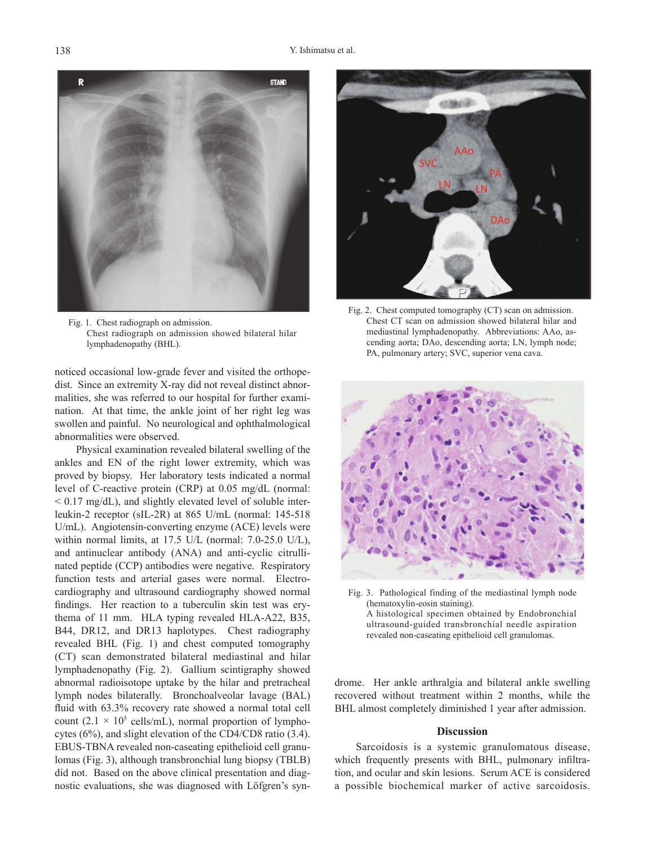

Fig. 1. Chest radiograph on admission. Chest radiograph on admission showed bilateral hilar lymphadenopathy (BHL).

noticed occasional low-grade fever and visited the orthopedist. Since an extremity X-ray did not reveal distinct abnormalities, she was referred to our hospital for further examination. At that time, the ankle joint of her right leg was swollen and painful. No neurological and ophthalmological abnormalities were observed.

Physical examination revealed bilateral swelling of the ankles and EN of the right lower extremity, which was proved by biopsy. Her laboratory tests indicated a normal level of C-reactive protein (CRP) at 0.05 mg/dL (normal:  $\leq$  0.17 mg/dL), and slightly elevated level of soluble interleukin-2 receptor (sIL-2R) at 865 U/mL (normal: 145-518 U/mL). Angiotensin-converting enzyme (ACE) levels were within normal limits, at 17.5 U/L (normal: 7.0-25.0 U/L), and antinuclear antibody (ANA) and anti-cyclic citrullinated peptide (CCP) antibodies were negative. Respiratory function tests and arterial gases were normal. Electrocardiography and ultrasound cardiography showed normal findings. Her reaction to a tuberculin skin test was erythema of 11 mm. HLA typing revealed HLA-A22, B35, B44, DR12, and DR13 haplotypes. Chest radiography revealed BHL (Fig. 1) and chest computed tomography (CT) scan demonstrated bilateral mediastinal and hilar lymphadenopathy (Fig. 2). Gallium scintigraphy showed abnormal radioisotope uptake by the hilar and pretracheal lymph nodes bilaterally. Bronchoalveolar lavage (BAL) fluid with 63.3% recovery rate showed a normal total cell count  $(2.1 \times 10^5 \text{ cells/mL})$ , normal proportion of lymphocytes (6%), and slight elevation of the CD4/CD8 ratio (3.4). EBUS-TBNA revealed non-caseating epithelioid cell granulomas (Fig. 3), although transbronchial lung biopsy (TBLB) did not. Based on the above clinical presentation and diagnostic evaluations, she was diagnosed with Löfgren's syn-



Fig. 2. Chest computed tomography (CT) scan on admission. Chest CT scan on admission showed bilateral hilar and mediastinal lymphadenopathy. Abbreviations: AAo, ascending aorta; DAo, descending aorta; LN, lymph node; PA, pulmonary artery; SVC, superior vena cava.



Fig. 3. Pathological finding of the mediastinal lymph node (hematoxylin-eosin staining). A histological specimen obtained by Endobronchial ultrasound-guided transbronchial needle aspiration revealed non-caseating epithelioid cell granulomas.

drome. Her ankle arthralgia and bilateral ankle swelling recovered without treatment within 2 months, while the BHL almost completely diminished 1 year after admission.

## **Discussion**

Sarcoidosis is a systemic granulomatous disease, which frequently presents with BHL, pulmonary infiltration, and ocular and skin lesions. Serum ACE is considered a possible biochemical marker of active sarcoidosis.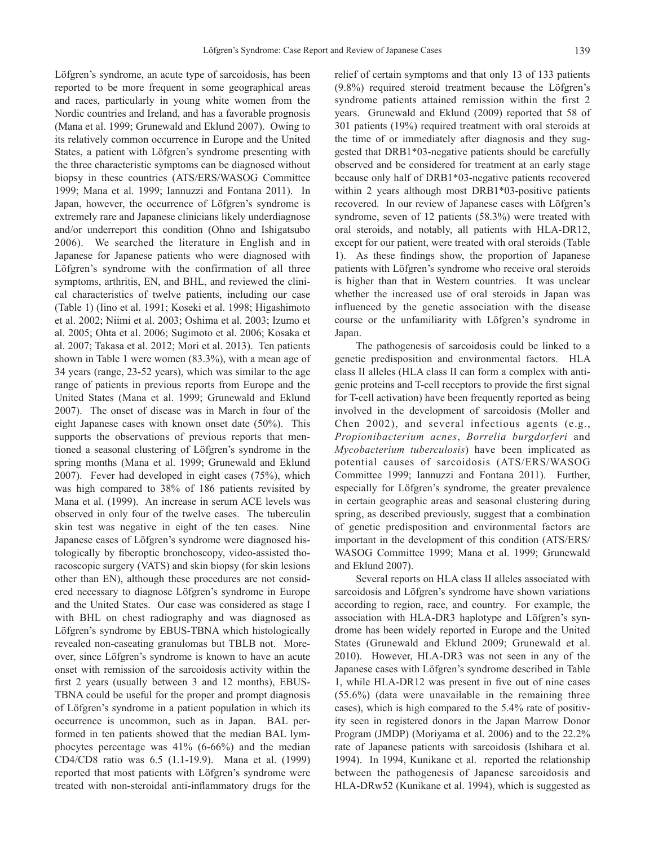Löfgren's syndrome, an acute type of sarcoidosis, has been reported to be more frequent in some geographical areas and races, particularly in young white women from the Nordic countries and Ireland, and has a favorable prognosis (Mana et al. 1999; Grunewald and Eklund 2007). Owing to its relatively common occurrence in Europe and the United States, a patient with Löfgren's syndrome presenting with the three characteristic symptoms can be diagnosed without biopsy in these countries (ATS/ERS/WASOG Committee 1999; Mana et al. 1999; Iannuzzi and Fontana 2011). In Japan, however, the occurrence of Löfgren's syndrome is extremely rare and Japanese clinicians likely underdiagnose and/or underreport this condition (Ohno and Ishigatsubo 2006). We searched the literature in English and in Japanese for Japanese patients who were diagnosed with Löfgren's syndrome with the confirmation of all three symptoms, arthritis, EN, and BHL, and reviewed the clinical characteristics of twelve patients, including our case (Table 1) (Iino et al. 1991; Koseki et al. 1998; Higashimoto et al. 2002; Niimi et al. 2003; Oshima et al. 2003; Izumo et al. 2005; Ohta et al. 2006; Sugimoto et al. 2006; Kosaka et al. 2007; Takasa et al. 2012; Mori et al. 2013). Ten patients shown in Table 1 were women (83.3%), with a mean age of 34 years (range, 23-52 years), which was similar to the age range of patients in previous reports from Europe and the United States (Mana et al. 1999; Grunewald and Eklund 2007). The onset of disease was in March in four of the eight Japanese cases with known onset date (50%). This supports the observations of previous reports that mentioned a seasonal clustering of Löfgren's syndrome in the spring months (Mana et al. 1999; Grunewald and Eklund 2007). Fever had developed in eight cases (75%), which was high compared to 38% of 186 patients revisited by Mana et al. (1999). An increase in serum ACE levels was observed in only four of the twelve cases. The tuberculin skin test was negative in eight of the ten cases. Nine Japanese cases of Löfgren's syndrome were diagnosed histologically by fiberoptic bronchoscopy, video-assisted thoracoscopic surgery (VATS) and skin biopsy (for skin lesions other than EN), although these procedures are not considered necessary to diagnose Löfgren's syndrome in Europe and the United States. Our case was considered as stage I with BHL on chest radiography and was diagnosed as Löfgren's syndrome by EBUS-TBNA which histologically revealed non-caseating granulomas but TBLB not. Moreover, since Löfgren's syndrome is known to have an acute onset with remission of the sarcoidosis activity within the first 2 years (usually between 3 and 12 months), EBUS-TBNA could be useful for the proper and prompt diagnosis of Löfgren's syndrome in a patient population in which its occurrence is uncommon, such as in Japan. BAL performed in ten patients showed that the median BAL lymphocytes percentage was 41% (6-66%) and the median CD4/CD8 ratio was 6.5 (1.1-19.9). Mana et al. (1999) reported that most patients with Löfgren's syndrome were treated with non-steroidal anti-inflammatory drugs for the relief of certain symptoms and that only 13 of 133 patients (9.8%) required steroid treatment because the Löfgren's syndrome patients attained remission within the first 2 years. Grunewald and Eklund (2009) reported that 58 of 301 patients (19%) required treatment with oral steroids at the time of or immediately after diagnosis and they suggested that DRB1\*03-negative patients should be carefully observed and be considered for treatment at an early stage because only half of DRB1\*03-negative patients recovered within 2 years although most DRB1\*03-positive patients recovered. In our review of Japanese cases with Löfgren's syndrome, seven of 12 patients (58.3%) were treated with oral steroids, and notably, all patients with HLA-DR12, except for our patient, were treated with oral steroids (Table 1). As these findings show, the proportion of Japanese patients with Löfgren's syndrome who receive oral steroids is higher than that in Western countries. It was unclear whether the increased use of oral steroids in Japan was influenced by the genetic association with the disease course or the unfamiliarity with Löfgren's syndrome in Japan.

The pathogenesis of sarcoidosis could be linked to a genetic predisposition and environmental factors. HLA class II alleles (HLA class II can form a complex with antigenic proteins and T-cell receptors to provide the first signal for T-cell activation) have been frequently reported as being involved in the development of sarcoidosis (Moller and Chen 2002), and several infectious agents (e.g., *Propionibacterium acnes*, *Borrelia burgdorferi* and *Mycobacterium tuberculosis*) have been implicated as potential causes of sarcoidosis (ATS/ERS/WASOG Committee 1999; Iannuzzi and Fontana 2011). Further, especially for Löfgren's syndrome, the greater prevalence in certain geographic areas and seasonal clustering during spring, as described previously, suggest that a combination of genetic predisposition and environmental factors are important in the development of this condition (ATS/ERS/ WASOG Committee 1999; Mana et al. 1999; Grunewald and Eklund 2007).

Several reports on HLA class II alleles associated with sarcoidosis and Löfgren's syndrome have shown variations according to region, race, and country. For example, the association with HLA-DR3 haplotype and Löfgren's syndrome has been widely reported in Europe and the United States (Grunewald and Eklund 2009; Grunewald et al. 2010). However, HLA-DR3 was not seen in any of the Japanese cases with Löfgren's syndrome described in Table 1, while HLA-DR12 was present in five out of nine cases (55.6%) (data were unavailable in the remaining three cases), which is high compared to the 5.4% rate of positivity seen in registered donors in the Japan Marrow Donor Program (JMDP) (Moriyama et al. 2006) and to the 22.2% rate of Japanese patients with sarcoidosis (Ishihara et al. 1994). In 1994, Kunikane et al. reported the relationship between the pathogenesis of Japanese sarcoidosis and HLA-DRw52 (Kunikane et al. 1994), which is suggested as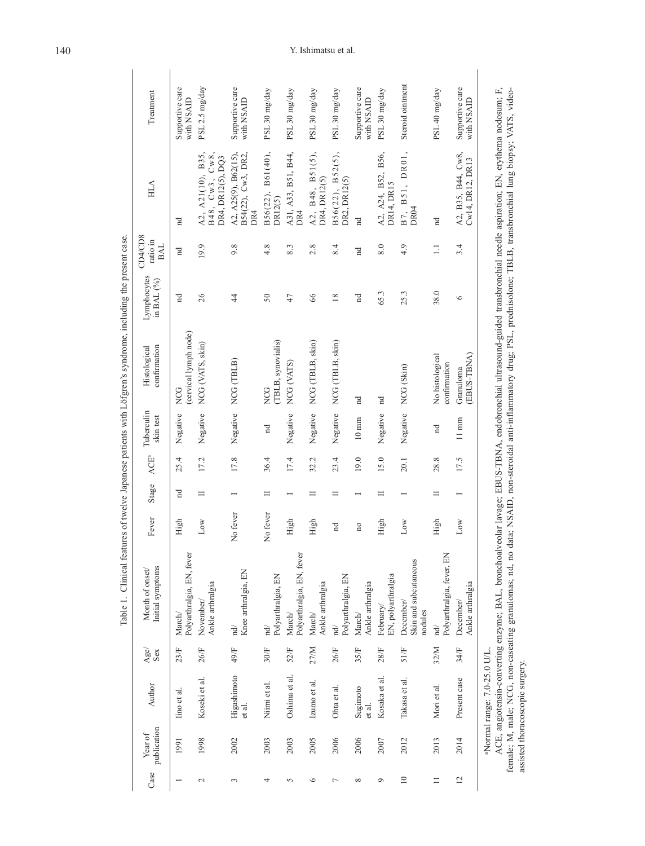|                |                        |                                 |             |                                                                                                                                                                                                                                  |                         |                          |         |                         | Table 1. Clinical features of twelve Japanese patients with Löfgren's syndrome, including the present case.          |                           |                                   |                                                             |                               |
|----------------|------------------------|---------------------------------|-------------|----------------------------------------------------------------------------------------------------------------------------------------------------------------------------------------------------------------------------------|-------------------------|--------------------------|---------|-------------------------|----------------------------------------------------------------------------------------------------------------------|---------------------------|-----------------------------------|-------------------------------------------------------------|-------------------------------|
| Case           | publication<br>Year of | Author                          | Age/<br>Sex | Initial symptoms<br>Month of onset/                                                                                                                                                                                              | Fever                   | Stage                    | $ACE^a$ | Tuberculin<br>skin test | confirmation<br>Histological                                                                                         | Lymphocytes<br>in BAL (%) | CD4/CD8<br>ratio in<br><b>BAL</b> | HLA                                                         | Treatment                     |
|                | 1991                   | lino et al.                     | 23/F        | Polyarthralgia, EN, fever<br>March/                                                                                                                                                                                              | High                    | $\overline{\mathrm{H}}$  | 25.4    | Negative                | (cervical lymph node)<br>NCG                                                                                         | Ä                         | A                                 | A                                                           | Supportive care<br>with NSAID |
| $\sim$         | 1998                   | Koseki et al.                   | 26/F        | Ankle arthralgia<br>November/                                                                                                                                                                                                    | Low                     | $\equiv$                 | 17.2    | Negative                | NCG (VATS, skin)                                                                                                     | 26                        | 19.9                              | A2, A21(10), B35,<br>Cw8,<br>DR4, DR12(5), DQ3<br>B48, Cw3, | PSL 2.5 mg/day                |
| 3              | 2002                   | Higashimoto<br>et al.           | 49/F        | Knee arthralgia, EN<br>$\overrightarrow{\text{nd}}$                                                                                                                                                                              | No fever                | $\overline{ }$           | 17.8    | Negative                | NCG (TBLB)                                                                                                           | 4                         | 9.8                               | A2, A25(9), B62(15),<br>B54(22), Cw3, DR2,<br>DR4           | Supportive care<br>with NSAID |
| 4              | 2003                   | Niimi et al.                    | 30/F        | Polyarthralgia, EN<br>$\operatorname{nd}$                                                                                                                                                                                        | No fever                | $\equiv$                 | 36.4    | $_{\rm nd}$             | (TBLB, synovialis)<br>NCG                                                                                            | $50\,$                    | 4.8                               | B61(40),<br>B56(22),<br>DR12(5)                             | PSL 30 mg/day                 |
| 5              | 2003                   | Oshima et al.                   | 52/F        | Polyarthralgia, EN, fever<br>March/                                                                                                                                                                                              | High                    | $\overline{ }$           | 17.4    | Negative                | NCG (VATS)                                                                                                           | 47                        | 8.3                               | A31, A33, B51, B44,<br>DR4                                  | PSL 30 mg/day                 |
| $\circ$        | 2005                   | Izumo et al.                    | 27/M        | Ankle arthralgia<br>$\mathbf{March}\mathcal{N}$                                                                                                                                                                                  | High                    | $\equiv$                 | 32.2    | Negative                | NCG (TBLB, skin)                                                                                                     | 66                        | 2.8                               | A2, B48, B51(5),<br>DR4, DR12(5)                            | PSL 30 mg/day                 |
| $\overline{ }$ | 2006                   | Ohta et al.                     | 26/F        | Polyarthralgia, EN<br>$\overrightarrow{p}$                                                                                                                                                                                       | $\mathbb{R}^n$          | $\equiv$                 | 23.4    | Negative                | NCG (TBLB, skin)                                                                                                     | 18                        | 8.4                               | $B56(22)$ , $B52(5)$ ,<br>DR2, DR12(5)                      | PSL 30 mg/day                 |
| ${}^{\circ}$   | 2006                   | Sugimoto<br>et al.              | 35/F        | Ankle arthralgia<br>March/                                                                                                                                                                                                       | $\overline{\mathbf{n}}$ | $\overline{\phantom{0}}$ | 19.0    | $10 \text{ mm}$         | nd                                                                                                                   | $_{\rm nd}$               | $\overline{\mathbf{a}}$           | nd                                                          | Supportive care<br>with NSAID |
| $\circ$        | 2007                   | Kosaka et al.                   | 28/F        | EN, polyarthralgia<br>February/                                                                                                                                                                                                  | High                    | $\equiv$                 | 15.0    | Negative                | nd                                                                                                                   | 65.3                      | 8.0                               | A2, A24, B52, B56,<br>DR14, DR15                            | PSL 30 mg/day                 |
| $\equiv$       | 2012                   | Takasa et al.                   | 51/F        | Skin and subcutaneous<br>December/<br>nodules                                                                                                                                                                                    | Low                     |                          | 20.1    | Negative                | NCG (Skin)                                                                                                           | 25.3                      | 4.9                               | B7, B51, DR01,<br>DR <sub>04</sub>                          | Steroid ointment              |
| $\equiv$       | 2013                   | Mori et al.                     | 32/M        | Polyarthralgia, fever, EN<br>$\overrightarrow{a}$                                                                                                                                                                                | High                    | $\equiv$                 | 28.8    | nd                      | No histological<br>confirmation                                                                                      | 38.0                      | $\Box$                            | nd                                                          | PSL 40 mg/day                 |
| $\overline{c}$ | 2014                   | Present case                    | 34/F        | Ankle arthralgia<br>December/                                                                                                                                                                                                    | Low                     |                          | 17.5    | $11~\mathrm{mm}$        | (EBUS-TBNA)<br>Granuloma                                                                                             | $\circ$                   | 3.4                               | A2, B35, B44, Cw8,<br>Cw14, DR12, DR13                      | Supportive care<br>with NSAID |
|                |                        | Normal range: 7.0-25.0 U/L.     |             |                                                                                                                                                                                                                                  |                         |                          |         |                         |                                                                                                                      |                           |                                   |                                                             |                               |
|                |                        |                                 |             | ACE, angiotensin-converting enzyme; BAL, bronchoalveolar lavage; EBUS-TBNA, endobronchial ultrasound-guided transbronchial needle aspiration; EN, erythema nodosum; F,<br>female; M, male; NCG, non-caseating granulomas; nd, no |                         |                          |         |                         | data; NSAID, non-steroidal anti-inflammatory drug; PSL, prednisolone; TBLB, transbronchial lung biopsy; VATS, video- |                           |                                   |                                                             |                               |
|                |                        | assisted thoracoscopic surgery. |             |                                                                                                                                                                                                                                  |                         |                          |         |                         |                                                                                                                      |                           |                                   |                                                             |                               |

# 140 Y. Ishimatsu et al.